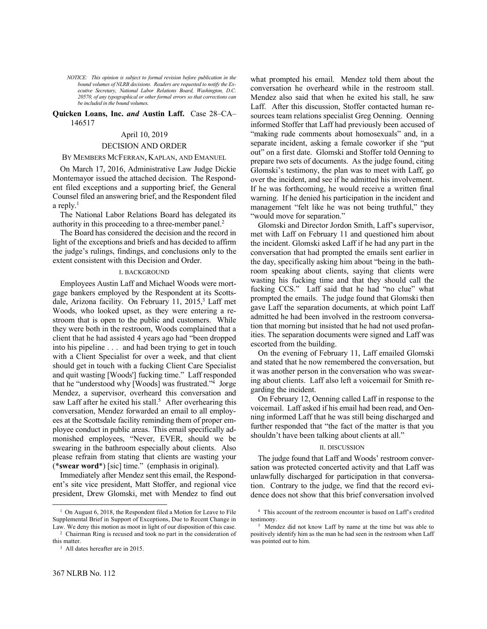*NOTICE: This opinion is subject to formal revision before publication in the bound volumes of NLRB decisions. Readers are requested to notify the Executive Secretary, National Labor Relations Board, Washington, D.C. 20570, of any typographical or other formal errors so that corrections can be included in the bound volumes.*

## **Quicken Loans, Inc.** *and* **Austin Laff.** Case 28–CA– 146517

## April 10, 2019

## DECISION AND ORDER

## BY MEMBERS MCFERRAN, KAPLAN, AND EMANUEL

On March 17, 2016, Administrative Law Judge Dickie Montemayor issued the attached decision. The Respondent filed exceptions and a supporting brief, the General Counsel filed an answering brief, and the Respondent filed a reply.<sup>1</sup>

The National Labor Relations Board has delegated its authority in this proceeding to a three-member panel.<sup>2</sup>

The Board has considered the decision and the record in light of the exceptions and briefs and has decided to affirm the judge's rulings, findings, and conclusions only to the extent consistent with this Decision and Order.

### I. BACKGROUND

Employees Austin Laff and Michael Woods were mortgage bankers employed by the Respondent at its Scottsdale, Arizona facility. On February 11,  $2015$ , Laff met Woods, who looked upset, as they were entering a restroom that is open to the public and customers. While they were both in the restroom, Woods complained that a client that he had assisted 4 years ago had "been dropped into his pipeline . . . and had been trying to get in touch with a Client Specialist for over a week, and that client should get in touch with a fucking Client Care Specialist and quit wasting [Woods'] fucking time." Laff responded that he "understood why [Woods] was frustrated."<sup>4</sup> Jorge Mendez, a supervisor, overheard this conversation and saw Laff after he exited his stall.<sup>5</sup> After overhearing this conversation, Mendez forwarded an email to all employees at the Scottsdale facility reminding them of proper employee conduct in public areas. This email specifically admonished employees, "Never, EVER, should we be swearing in the bathroom especially about clients. Also please refrain from stating that clients are wasting your (\***swear word**\*) [sic] time." (emphasis in original).

Immediately after Mendez sent this email, the Respondent's site vice president, Matt Stoffer, and regional vice president, Drew Glomski, met with Mendez to find out

-

what prompted his email. Mendez told them about the conversation he overheard while in the restroom stall. Mendez also said that when he exited his stall, he saw Laff. After this discussion, Stoffer contacted human resources team relations specialist Greg Oenning. Oenning informed Stoffer that Laff had previously been accused of "making rude comments about homosexuals" and, in a separate incident, asking a female coworker if she "put out" on a first date. Glomski and Stoffer told Oenning to prepare two sets of documents. As the judge found, citing Glomski's testimony, the plan was to meet with Laff, go over the incident, and see if he admitted his involvement. If he was forthcoming, he would receive a written final warning. If he denied his participation in the incident and management "felt like he was not being truthful," they "would move for separation."

Glomski and Director Jordon Smith, Laff's supervisor, met with Laff on February 11 and questioned him about the incident. Glomski asked Laff if he had any part in the conversation that had prompted the emails sent earlier in the day, specifically asking him about "being in the bathroom speaking about clients, saying that clients were wasting his fucking time and that they should call the fucking CCS." Laff said that he had "no clue" what prompted the emails. The judge found that Glomski then gave Laff the separation documents, at which point Laff admitted he had been involved in the restroom conversation that morning but insisted that he had not used profanities. The separation documents were signed and Laff was escorted from the building.

On the evening of February 11, Laff emailed Glomski and stated that he now remembered the conversation, but it was another person in the conversation who was swearing about clients. Laff also left a voicemail for Smith regarding the incident.

On February 12, Oenning called Laff in response to the voicemail. Laff asked if his email had been read, and Oenning informed Laff that he was still being discharged and further responded that "the fact of the matter is that you shouldn't have been talking about clients at all."

## II. DISCUSSION

The judge found that Laff and Woods' restroom conversation was protected concerted activity and that Laff was unlawfully discharged for participation in that conversation. Contrary to the judge, we find that the record evidence does not show that this brief conversation involved

<sup>&</sup>lt;sup>1</sup> On August 6, 2018, the Respondent filed a Motion for Leave to File Supplemental Brief in Support of Exceptions, Due to Recent Change in Law. We deny this motion as moot in light of our disposition of this case.

<sup>2</sup> Chairman Ring is recused and took no part in the consideration of this matter.

<sup>3</sup> All dates hereafter are in 2015.

<sup>4</sup> This account of the restroom encounter is based on Laff's credited testimony.

<sup>5</sup> Mendez did not know Laff by name at the time but was able to positively identify him as the man he had seen in the restroom when Laff was pointed out to him.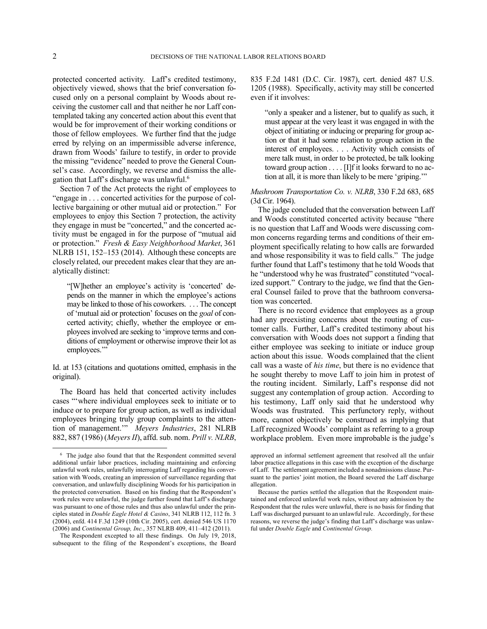-

protected concerted activity. Laff's credited testimony, objectively viewed, shows that the brief conversation focused only on a personal complaint by Woods about receiving the customer call and that neither he nor Laff contemplated taking any concerted action about this event that would be for improvement of their working conditions or those of fellow employees. We further find that the judge erred by relying on an impermissible adverse inference, drawn from Woods' failure to testify, in order to provide the missing "evidence" needed to prove the General Counsel's case. Accordingly, we reverse and dismiss the allegation that Laff's discharge was unlawful.<sup>6</sup>

Section 7 of the Act protects the right of employees to "engage in . . . concerted activities for the purpose of collective bargaining or other mutual aid or protection." For employees to enjoy this Section 7 protection, the activity they engage in must be "concerted," and the concerted activity must be engaged in for the purpose of "mutual aid or protection." *Fresh & Easy Neighborhood Market*, 361 NLRB 151, 152–153 (2014). Although these concepts are closely related, our precedent makes clear that they are analytically distinct:

"[W]hether an employee's activity is 'concerted' depends on the manner in which the employee's actions may be linked to those of his coworkers. . . . The concept of 'mutual aid or protection' focuses on the *goal* of concerted activity; chiefly, whether the employee or employees involved are seeking to 'improve terms and conditions of employment or otherwise improve their lot as employees."

Id. at 153 (citations and quotations omitted, emphasis in the original).

The Board has held that concerted activity includes cases "'where individual employees seek to initiate or to induce or to prepare for group action, as well as individual employees bringing truly group complaints to the attention of management.'" *Meyers Industries*, 281 NLRB 882, 887 (1986) (*Meyers II*), affd. sub. nom. *Prill v. NLRB*,

The Respondent excepted to all these findings. On July 19, 2018, subsequent to the filing of the Respondent's exceptions, the Board 835 F.2d 1481 (D.C. Cir. 1987), cert. denied 487 U.S. 1205 (1988). Specifically, activity may still be concerted even if it involves:

"only a speaker and a listener, but to qualify as such, it must appear at the very least it was engaged in with the object of initiating or inducing or preparing for group action or that it had some relation to group action in the interest of employees. . . . Activity which consists of mere talk must, in order to be protected, be talk looking toward group action . . . . [I]f it looks forward to no action at all, it is more than likely to be mere 'griping.'"

# *Mushroom Transportation Co. v. NLRB*, 330 F.2d 683, 685 (3d Cir. 1964).

The judge concluded that the conversation between Laff and Woods constituted concerted activity because "there is no question that Laff and Woods were discussing common concerns regarding terms and conditions of their employment specifically relating to how calls are forwarded and whose responsibility it was to field calls." The judge further found that Laff's testimony that he told Woods that he "understood why he was frustrated" constituted "vocalized support." Contrary to the judge, we find that the General Counsel failed to prove that the bathroom conversation was concerted.

There is no record evidence that employees as a group had any preexisting concerns about the routing of customer calls. Further, Laff's credited testimony about his conversation with Woods does not support a finding that either employee was seeking to initiate or induce group action about this issue. Woods complained that the client call was a waste of *his time*, but there is no evidence that he sought thereby to move Laff to join him in protest of the routing incident. Similarly, Laff's response did not suggest any contemplation of group action. According to his testimony, Laff only said that he understood why Woods was frustrated. This perfunctory reply, without more, cannot objectively be construed as implying that Laff recognized Woods' complaint as referring to a group workplace problem. Even more improbable is the judge's

<sup>6</sup> The judge also found that that the Respondent committed several additional unfair labor practices, including maintaining and enforcing unlawful work rules, unlawfully interrogating Laff regarding his conversation with Woods, creating an impression of surveillance regarding that conversation, and unlawfully disciplining Woods for his participation in the protected conversation. Based on his finding that the Respondent's work rules were unlawful, the judge further found that Laff's discharge was pursuant to one of those rules and thus also unlawful under the principles stated in *Double Eagle Hotel & Casino*, 341 NLRB 112, 112 fn. 3 (2004), enfd. 414 F.3d 1249 (10th Cir. 2005), cert. denied 546 US 1170 (2006) and *Continental Group, Inc.*, 357 NLRB 409, 411–412 (2011).

approved an informal settlement agreement that resolved all the unfair labor practice allegations in this case with the exception of the discharge of Laff. The settlement agreement included a nonadmissions clause. Pursuant to the parties' joint motion, the Board severed the Laff discharge allegation.

Because the parties settled the allegation that the Respondent maintained and enforced unlawful work rules, without any admission by the Respondent that the rules were unlawful, there is no basis for finding that Laff was discharged pursuant to an unlawful rule. Accordingly, for these reasons, we reverse the judge's finding that Laff's discharge was unlawful under *Double Eagle* and *Continental Group.*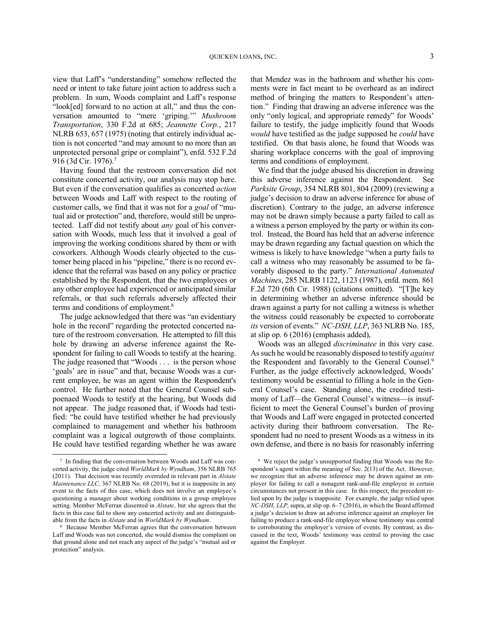view that Laff's "understanding" somehow reflected the need or intent to take future joint action to address such a problem. In sum, Woods complaint and Laff's response "look[ed] forward to no action at all," and thus the conversation amounted to "mere 'griping.'" *Mushroom Transportation*, 330 F.2d at 685; *Jeannette Corp.*, 217 NLRB 653, 657 (1975) (noting that entirely individual action is not concerted "and may amount to no more than an unprotected personal gripe or complaint"), enfd. 532 F.2d 916 (3d Cir. 1976). 7

Having found that the restroom conversation did not constitute concerted activity, our analysis may stop here. But even if the conversation qualifies as concerted *action* between Woods and Laff with respect to the routing of customer calls, we find that it was not for a *goal* of "mutual aid or protection" and, therefore, would still be unprotected. Laff did not testify about *any* goal of his conversation with Woods, much less that it involved a goal of improving the working conditions shared by them or with coworkers. Although Woods clearly objected to the customer being placed in his "pipeline," there is no record evidence that the referral was based on any policy or practice established by the Respondent, that the two employees or any other employee had experienced or anticipated similar referrals, or that such referrals adversely affected their terms and conditions of employment.<sup>8</sup>

The judge acknowledged that there was "an evidentiary hole in the record" regarding the protected concerted nature of the restroom conversation. He attempted to fill this hole by drawing an adverse inference against the Respondent for failing to call Woods to testify at the hearing. The judge reasoned that "Woods . . . is the person whose 'goals' are in issue" and that, because Woods was a current employee, he was an agent within the Respondent's control. He further noted that the General Counsel subpoenaed Woods to testify at the hearing, but Woods did not appear. The judge reasoned that, if Woods had testified: "he could have testified whether he had previously complained to management and whether his bathroom complaint was a logical outgrowth of those complaints. He could have testified regarding whether he was aware

-

that Mendez was in the bathroom and whether his comments were in fact meant to be overheard as an indirect method of bringing the matters to Respondent's attention." Finding that drawing an adverse inference was the only "only logical, and appropriate remedy" for Woods' failure to testify, the judge implicitly found that Woods *would* have testified as the judge supposed he *could* have testified. On that basis alone, he found that Woods was sharing workplace concerns with the goal of improving terms and conditions of employment.

We find that the judge abused his discretion in drawing this adverse inference against the Respondent. See *Parksite Group*, 354 NLRB 801, 804 (2009) (reviewing a judge's decision to draw an adverse inference for abuse of discretion). Contrary to the judge, an adverse inference may not be drawn simply because a party failed to call as a witness a person employed by the party or within its control. Instead, the Board has held that an adverse inference may be drawn regarding any factual question on which the witness is likely to have knowledge "when a party fails to call a witness who may reasonably be assumed to be favorably disposed to the party." *International Automated Machines*, 285 NLRB 1122, 1123 (1987), enfd. mem. 861 F.2d 720 (6th Cir. 1988) (citations omitted). "[T]he key in determining whether an adverse inference should be drawn against a party for not calling a witness is whether the witness could reasonably be expected to corroborate *its* version of events." *NC-DSH, LLP*, 363 NLRB No. 185, at slip op. 6 (2016) (emphasis added),

Woods was an alleged *discriminatee* in this very case. As such he would be reasonably disposed to testify *against* the Respondent and favorably to the General Counsel.<sup>9</sup> Further, as the judge effectively acknowledged, Woods' testimony would be essential to filling a hole in the General Counsel's case. Standing alone, the credited testimony of Laff—the General Counsel's witness—is insufficient to meet the General Counsel's burden of proving that Woods and Laff were engaged in protected concerted activity during their bathroom conversation. The Respondent had no need to present Woods as a witness in its own defense, and there is no basis for reasonably inferring

<sup>7</sup> In finding that the conversation between Woods and Laff was concerted activity, the judge cited *WorldMark by Wyndham*, 356 NLRB 765 (2011). That decision was recently overruled in relevant part in *Alstate Maintenance LLC,* 367 NLRB No. 68 (2019), but it is inapposite in any event to the facts of this case, which does not involve an employee's questioning a manager about working conditions in a group employee setting. Member McFerran dissented in *Alstate*, but she agrees that the facts in this case fail to show any concerted activity and are distinguishable from the facts in *Alstate* and in *WorldMark by Wyndham*.

<sup>8</sup> Because Member McFerran agrees that the conversation between Laff and Woods was not concerted, she would dismiss the complaint on that ground alone and not reach any aspect of the judge's "mutual aid or protection" analysis.

<sup>9</sup> We reject the judge's unsupported finding that Woods was the Respondent's agent within the meaning of Sec. 2(13) of the Act. However, we recognize that an adverse inference may be drawn against an employer for failing to call a nonagent rank-and-file employee in certain circumstances not present in this case. In this respect, the precedent relied upon by the judge is inapposite. For example, the judge relied upon *NC-DSH, LLP*, supra, at slip op. 6–7 (2016), in which the Board affirmed a judge's decision to draw an adverse inference against an employer for failing to produce a rank-and-file employee whose testimony was central to corroborating the employer's version of events. By contrast, as discussed in the text, Woods' testimony was central to proving the case against the Employer.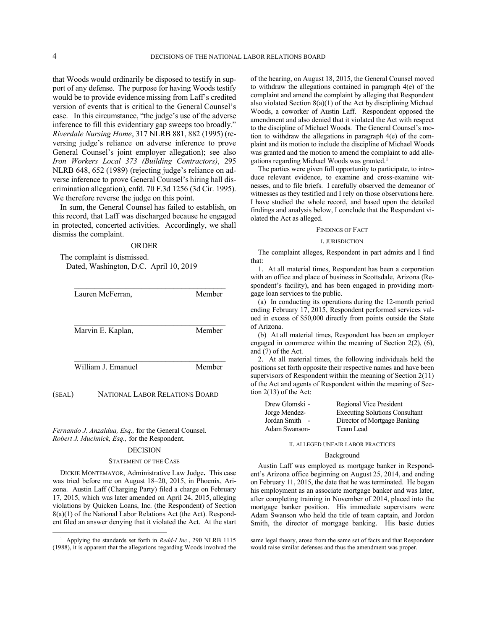that Woods would ordinarily be disposed to testify in support of any defense. The purpose for having Woods testify would be to provide evidence missing from Laff's credited version of events that is critical to the General Counsel's case. In this circumstance, "the judge's use of the adverse inference to fill this evidentiary gap sweeps too broadly." *Riverdale Nursing Home*, 317 NLRB 881, 882 (1995) (reversing judge's reliance on adverse inference to prove General Counsel's joint employer allegation); see also *Iron Workers Local 373 (Building Contractors)*, 295 NLRB 648, 652 (1989) (rejecting judge's reliance on adverse inference to prove General Counsel's hiring hall discrimination allegation), enfd. 70 F.3d 1256 (3d Cir. 1995). We therefore reverse the judge on this point.

In sum, the General Counsel has failed to establish, on this record, that Laff was discharged because he engaged in protected, concerted activities. Accordingly, we shall dismiss the complaint.

#### ORDER

The complaint is dismissed. Dated, Washington, D.C. April 10, 2019

| Lauren McFerran,   | Member |
|--------------------|--------|
| Marvin E. Kaplan,  | Member |
|                    |        |
| William J. Emanuel | Member |

*Fernando J. Anzaldua, Esq.,* for the General Counsel. *Robert J. Muchnick, Esq.,* for the Respondent.

(SEAL) NATIONAL LABOR RELATIONS BOARD

### DECISION

#### STATEMENT OF THE CASE

DICKIE MONTEMAYOR, Administrative Law Judge**.** This case was tried before me on August 18–20, 2015, in Phoenix, Arizona. Austin Laff (Charging Party) filed a charge on February 17, 2015, which was later amended on April 24, 2015, alleging violations by Quicken Loans, Inc. (the Respondent) of Section 8(a)(1) of the National Labor Relations Act (the Act). Respondent filed an answer denying that it violated the Act. At the start

-

of the hearing, on August 18, 2015, the General Counsel moved to withdraw the allegations contained in paragraph 4(e) of the complaint and amend the complaint by alleging that Respondent also violated Section 8(a)(1) of the Act by disciplining Michael Woods, a coworker of Austin Laff. Respondent opposed the amendment and also denied that it violated the Act with respect to the discipline of Michael Woods. The General Counsel's motion to withdraw the allegations in paragraph 4(e) of the complaint and its motion to include the discipline of Michael Woods was granted and the motion to amend the complaint to add allegations regarding Michael Woods was granted.<sup>1</sup>

The parties were given full opportunity to participate, to introduce relevant evidence, to examine and cross-examine witnesses, and to file briefs. I carefully observed the demeanor of witnesses as they testified and I rely on those observations here. I have studied the whole record, and based upon the detailed findings and analysis below, I conclude that the Respondent violated the Act as alleged.

#### FINDINGS OF FACT

### I. JURISDICTION

The complaint alleges, Respondent in part admits and I find that:

1. At all material times, Respondent has been a corporation with an office and place of business in Scottsdale, Arizona (Respondent's facility), and has been engaged in providing mortgage loan services to the public.

(a) In conducting its operations during the 12-month period ending February 17, 2015, Respondent performed services valued in excess of \$50,000 directly from points outside the State of Arizona.

(b) At all material times, Respondent has been an employer engaged in commerce within the meaning of Section 2(2), (6), and (7) of the Act.

2. At all material times, the following individuals held the positions set forth opposite their respective names and have been supervisors of Respondent within the meaning of Section 2(11) of the Act and agents of Respondent within the meaning of Section 2(13) of the Act:

| Drew Glomski - | Regional Vice President               |
|----------------|---------------------------------------|
| Jorge Mendez-  | <b>Executing Solutions Consultant</b> |
| Jordan Smith   | Director of Mortgage Banking          |
| Adam Swanson-  | Team Lead                             |

## II. ALLEGED UNFAIR LABOR PRACTICES

## Background

Austin Laff was employed as mortgage banker in Respondent's Arizona office beginning on August 25, 2014, and ending on February 11, 2015, the date that he was terminated. He began his employment as an associate mortgage banker and was later, after completing training in November of 2014, placed into the mortgage banker position. His immediate supervisors were Adam Swanson who held the title of team captain, and Jordon Smith, the director of mortgage banking. His basic duties

<sup>&</sup>lt;sup>1</sup> Applying the standards set forth in *Redd-I Inc.*, 290 NLRB 1115 (1988), it is apparent that the allegations regarding Woods involved the

same legal theory, arose from the same set of facts and that Respondent would raise similar defenses and thus the amendment was proper.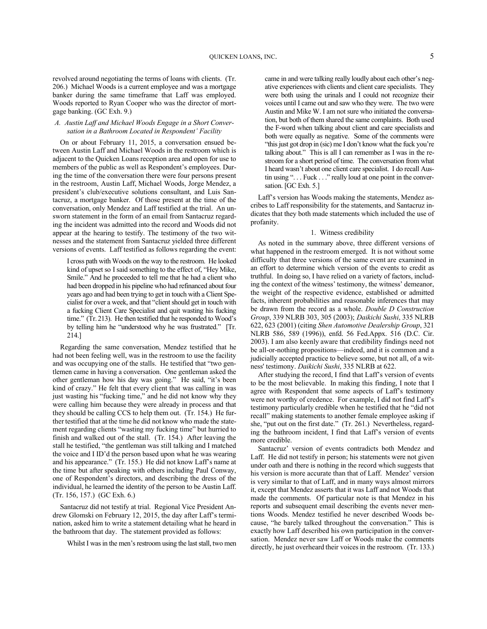revolved around negotiating the terms of loans with clients. (Tr. 206.) Michael Woods is a current employee and was a mortgage banker during the same timeframe that Laff was employed. Woods reported to Ryan Cooper who was the director of mortgage banking. (GC Exh. 9.)

## *A. Austin Laff and Michael Woods Engage in a Short Conversation in a Bathroom Located in Respondent' Facility*

On or about February 11, 2015, a conversation ensued between Austin Laff and Michael Woods in the restroom which is adjacent to the Quicken Loans reception area and open for use to members of the public as well as Respondent's employees. During the time of the conversation there were four persons present in the restroom, Austin Laff, Michael Woods, Jorge Mendez, a president's club/executive solutions consultant, and Luis Santacruz, a mortgage banker. Of those present at the time of the conversation, only Mendez and Laff testified at the trial. An unsworn statement in the form of an email from Santacruz regarding the incident was admitted into the record and Woods did not appear at the hearing to testify. The testimony of the two witnesses and the statement from Santacruz yielded three different versions of events. Laff testified as follows regarding the event:

I cross path with Woods on the way to the restroom. He looked kind of upset so I said something to the effect of, "Hey Mike, Smile." And he proceeded to tell me that he had a client who had been dropped in his pipeline who had refinanced about four years ago and had been trying to get in touch with a Client Specialist for over a week, and that "client should get in touch with a fucking Client Care Specialist and quit wasting his fucking time." (Tr. 213). He then testified that he responded to Wood's by telling him he "understood why he was frustrated." [Tr. 214.]

Regarding the same conversation, Mendez testified that he had not been feeling well, was in the restroom to use the facility and was occupying one of the stalls. He testified that "two gentlemen came in having a conversation. One gentleman asked the other gentleman how his day was going." He said, "it's been kind of crazy." He felt that every client that was calling in was just wasting his "fucking time," and he did not know why they were calling him because they were already in process and that they should be calling CCS to help them out. (Tr. 154.) He further testified that at the time he did not know who made the statement regarding clients "wasting my fucking time" but hurried to finish and walked out of the stall. (Tr. 154.) After leaving the stall he testified, "the gentleman was still talking and I matched the voice and I ID'd the person based upon what he was wearing and his appearance." (Tr. 155.) He did not know Laff's name at the time but after speaking with others including Paul Conway, one of Respondent's directors, and describing the dress of the individual, he learned the identity of the person to be Austin Laff. (Tr. 156, 157.) (GC Exh. 6.)

Santacruz did not testify at trial. Regional Vice President Andrew Glomski on February 12, 2015, the day after Laff's termination, asked him to write a statement detailing what he heard in the bathroom that day. The statement provided as follows:

Whilst I was in the men's restroom using the last stall, two men

came in and were talking really loudly about each other's negative experiences with clients and client care specialists. They were both using the urinals and I could not recognize their voices until I came out and saw who they were. The two were Austin and Mike W. I am not sure who initiated the conversation, but both of them shared the same complaints. Both used the F-word when talking about client and care specialists and both were equally as negative. Some of the comments were "this just got drop in (sic) me I don't know what the fuck you're talking about." This is all I can remember as I was in the restroom for a short period of time. The conversation from what I heard wasn't about one client care specialist. I do recall Austin using "... Fuck ..." really loud at one point in the conversation. [GC Exh. 5.]

Laff's version has Woods making the statements, Mendez ascribes to Laff responsibility for the statements, and Santacruz indicates that they both made statements which included the use of profanity.

### 1. Witness credibility

As noted in the summary above, three different versions of what happened in the restroom emerged. It is not without some difficulty that three versions of the same event are examined in an effort to determine which version of the events to credit as truthful. In doing so, I have relied on a variety of factors, including the context of the witness' testimony, the witness' demeanor, the weight of the respective evidence, established or admitted facts, inherent probabilities and reasonable inferences that may be drawn from the record as a whole. *Double D Construction Group*, 339 NLRB 303, 305 (2003); *Daikichi Sushi*, 335 NLRB 622, 623 (2001) (citing *Shen Automotive Dealership Group*, 321 NLRB 586, 589 (1996)), enfd. 56 Fed.Appx. 516 (D.C. Cir. 2003). I am also keenly aware that credibility findings need not be all-or-nothing propositions—indeed, and it is common and a judicially accepted practice to believe some, but not all, of a witness' testimony. *Daikichi Sushi*, 335 NLRB at 622.

After studying the record, I find that Laff's version of events to be the most believable. In making this finding, I note that I agree with Respondent that some aspects of Laff's testimony were not worthy of credence. For example, I did not find Laff's testimony particularly credible when he testified that he "did not recall" making statements to another female employee asking if she, "put out on the first date." (Tr. 261.) Nevertheless, regarding the bathroom incident, I find that Laff's version of events more credible.

Santacruz' version of events contradicts both Mendez and Laff. He did not testify in person; his statements were not given under oath and there is nothing in the record which suggests that his version is more accurate than that of Laff. Mendez' version is very similar to that of Laff, and in many ways almost mirrors it, except that Mendez asserts that it was Laff and not Woods that made the comments. Of particular note is that Mendez in his reports and subsequent email describing the events never mentions Woods. Mendez testified he never described Woods because, "he barely talked throughout the conversation." This is exactly how Laff described his own participation in the conversation. Mendez never saw Laff or Woods make the comments directly, he just overheard their voices in the restroom. (Tr. 133.)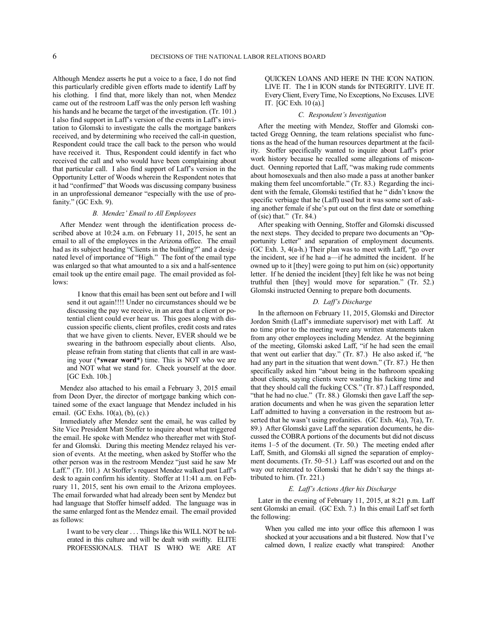Although Mendez asserts he put a voice to a face, I do not find this particularly credible given efforts made to identify Laff by his clothing. I find that, more likely than not, when Mendez came out of the restroom Laff was the only person left washing his hands and he became the target of the investigation. (Tr. 101.) I also find support in Laff's version of the events in Laff's invitation to Glomski to investigate the calls the mortgage bankers received, and by determining who received the call-in question, Respondent could trace the call back to the person who would have received it. Thus, Respondent could identify in fact who received the call and who would have been complaining about that particular call. I also find support of Laff's version in the Opportunity Letter of Woods wherein the Respondent notes that it had "confirmed" that Woods was discussing company business in an unprofessional demeanor "especially with the use of profanity." (GC Exh. 9).

# *B. Mendez' Email to All Employees*

After Mendez went through the identification process described above at 10:24 a.m. on February 11, 2015, he sent an email to all of the employees in the Arizona office. The email had as its subject heading "Clients in the building?" and a designated level of importance of "High." The font of the email type was enlarged so that what amounted to a six and a half-sentence email took up the entire email page. The email provided as follows:

I know that this email has been sent out before and I will send it out again!!!! Under no circumstances should we be discussing the pay we receive, in an area that a client or potential client could ever hear us. This goes along with discussion specific clients, client profiles, credit costs and rates that we have given to clients. Never, EVER should we be swearing in the bathroom especially about clients. Also, please refrain from stating that clients that call in are wasting your (\***swear word**\*) time. This is NOT who we are and NOT what we stand for. Check yourself at the door. [GC Exh. 10b.]

Mendez also attached to his email a February 3, 2015 email from Deon Dyer, the director of mortgage banking which contained some of the exact language that Mendez included in his email. (GC Exhs. 10(a), (b), (c).)

Immediately after Mendez sent the email, he was called by Site Vice President Matt Stoffer to inquire about what triggered the email. He spoke with Mendez who thereafter met with Stoffer and Glomski. During this meeting Mendez relayed his version of events. At the meeting, when asked by Stoffer who the other person was in the restroom Mendez "just said he saw Mr Laff." (Tr. 101.) At Stoffer's request Mendez walked past Laff's desk to again confirm his identity. Stoffer at 11:41 a.m. on February 11, 2015, sent his own email to the Arizona employees. The email forwarded what had already been sent by Mendez but had language that Stoffer himself added. The language was in the same enlarged font as the Mendez email. The email provided as follows:

I want to be very clear . . . Things like this WILL NOT be tolerated in this culture and will be dealt with swiftly. ELITE PROFESSIONALS. THAT IS WHO WE ARE AT QUICKEN LOANS AND HERE IN THE ICON NATION. LIVE IT. The I in ICON stands for INTEGRITY. LIVE IT. Every Client, Every Time, No Exceptions, No Excuses. LIVE IT. [GC Exh. 10 (a).]

### *C. Respondent's Investigation*

After the meeting with Mendez, Stoffer and Glomski contacted Gregg Oenning, the team relations specialist who functions as the head of the human resources department at the facility. Stoffer specifically wanted to inquire about Laff's prior work history because he recalled some allegations of misconduct. Oenning reported that Laff, "was making rude comments about homosexuals and then also made a pass at another banker making them feel uncomfortable." (Tr. 83.) Regarding the incident with the female, Glomski testified that he " didn't know the specific verbiage that he (Laff) used but it was some sort of asking another female if she's put out on the first date or something of (sic) that."  $(Tr. 84.)$ 

After speaking with Oenning, Stoffer and Glomski discussed the next steps. They decided to prepare two documents an "Opportunity Letter" and separation of employment documents. (GC Exh. 3, 4(a-h.) Their plan was to meet with Laff, "go over the incident, see if he had a—if he admitted the incident. If he owned up to it [they] were going to put him on (sic) opportunity letter. If he denied the incident [they] felt like he was not being truthful then [they] would move for separation." (Tr. 52.) Glomski instructed Oenning to prepare both documents.

# *D. Laff's Discharge*

In the afternoon on February 11, 2015, Glomski and Director Jordon Smith (Laff's immediate supervisor) met with Laff. At no time prior to the meeting were any written statements taken from any other employees including Mendez. At the beginning of the meeting, Glomski asked Laff, "if he had seen the email that went out earlier that day." (Tr. 87.) He also asked if, "he had any part in the situation that went down." (Tr. 87.) He then specifically asked him "about being in the bathroom speaking about clients, saying clients were wasting his fucking time and that they should call the fucking CCS." (Tr. 87.) Laff responded, "that he had no clue." (Tr. 88.) Glomski then gave Laff the separation documents and when he was given the separation letter Laff admitted to having a conversation in the restroom but asserted that he wasn't using profanities. (GC Exh. 4(a), 7(a), Tr. 89.) After Glomski gave Laff the separation documents, he discussed the COBRA portions of the documents but did not discuss items 1–5 of the document. (Tr. 50.) The meeting ended after Laff, Smith, and Glomski all signed the separation of employment documents. (Tr. 50–51.) Laff was escorted out and on the way out reiterated to Glomski that he didn't say the things attributed to him. (Tr. 221.)

## *E. Laff's Actions After his Discharge*

Later in the evening of February 11, 2015, at 8:21 p.m. Laff sent Glomski an email. (GC Exh. 7.) In this email Laff set forth the following:

When you called me into your office this afternoon I was shocked at your accusations and a bit flustered. Now that I've calmed down, I realize exactly what transpired: Another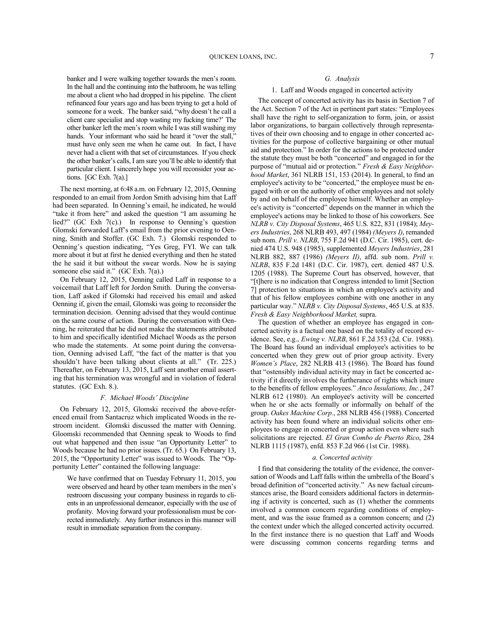banker and I were walking together towards the men's room. In the hall and the continuing into the bathroom, he was telling me about a client who had dropped in his pipeline. The client refinanced four years ago and has been trying to get a hold of someone for a week. The banker said, "why doesn't he call a client care specialist and stop wasting my fucking time?' The other banker left the men's room while I was still washing my hands. Your informant who said he heard it "over the stall," must have only seen me when he came out. In fact, I have never had a client with that set of circumstances. If you check the other banker's calls, I am sure you'll be able to identify that particular client. I sincerely hope you will reconsider your actions. [GC Exh. 7(a).]

The next morning, at 6:48 a.m. on February 12, 2015, Oenning responded to an email from Jordon Smith advising him that Laff had been separated. In Oenning's email, he indicated, he would "take it from here" and asked the question "I am assuming he lied?" (GC Exh 7(c).) In response to Oenning's question Glomski forwarded Laff's email from the prior evening to Oenning, Smith and Stoffer. (GC Exh. 7.) Glomski responded to Oenning's question indicating, "Yes Greg, FYI. We can talk more about it but at first he denied everything and then he stated the he said it but without the swear words. Now he is saying someone else said it." (GC Exh. 7(a).)

On February 12, 2015, Oenning called Laff in response to a voicemail that Laff left for Jordon Smith. During the conversation, Laff asked if Glomski had received his email and asked Oenning if, given the email, Glomski was going to reconsider the termination decision. Oenning advised that they would continue on the same course of action. During the conversation with Oenning, he reiterated that he did not make the statements attributed to him and specifically identified Michael Woods as the person who made the statements. At some point during the conversation, Oenning advised Laff, "the fact of the matter is that you shouldn't have been talking about clients at all." (Tr. 225.) Thereafter, on February 13, 2015, Laff sent another email asserting that his termination was wrongful and in violation of federal statutes. (GC Exh. 8.).

### *F. Michael Woods' Discipline*

On February 12, 2015, Glomski received the above-referenced email from Santacruz which implicated Woods in the restroom incident. Glomski discussed the matter with Oenning. Gloomski recommended that Oenning speak to Woods to find out what happened and then issue "an Opportunity Letter" to Woods because he had no prior issues. (Tr. 65.) On February 13, 2015, the "Opportunity Letter" was issued to Woods. The "Opportunity Letter" contained the following language:

We have confirmed that on Tuesday February 11, 2015, you were observed and heard by other team members in the men's restroom discussing your company business in regards to clients in an unprofessional demeanor, especially with the use of profanity. Moving forward your professionalism must be corrected immediately. Any further instances in this manner will result in immediate separation from the company.

# *G. Analysis*

## 1. Laff and Woods engaged in concerted activity

The concept of concerted activity has its basis in Section 7 of the Act. Section 7 of the Act in pertinent part states: "Employees shall have the right to self-organization to form, join, or assist labor organizations, to bargain collectively through representatives of their own choosing and to engage in other concerted activities for the purpose of collective bargaining or other mutual aid and protection." In order for the actions to be protected under the statute they must be both "concerted" and engaged in for the purpose of "mutual aid or protection." *Fresh & Easy Neighborhood Market*, 361 NLRB 151, 153 (2014). In general, to find an employee's activity to be "concerted," the employee must be engaged with or on the authority of other employees and not solely by and on behalf of the employee himself. Whether an employee's activity is "concerted" depends on the manner in which the employee's actions may be linked to those of his coworkers. See *NLRB v. City Disposal Systems*, 465 U.S. 822, 831 (1984); *Meyers Industries*, 268 NLRB 493, 497 (1984) *(Meyers I)*, remanded sub nom. *Prill v. NLRB*, 755 F.2d 941 (D.C. Cir. 1985), cert. denied 474 U.S. 948 (1985), supplemented *Meyers Industries*, 281 NLRB 882, 887 (1986) *(Meyers II)*, affd. sub nom. *Prill v. NLRB*, 835 F.2d 1481 (D.C. Cir. 1987), cert. denied 487 U.S. 1205 (1988). The Supreme Court has observed, however, that "[t]here is no indication that Congress intended to limit [Section 7] protection to situations in which an employee's activity and that of his fellow employees combine with one another in any particular way." *NLRB v. City Disposal Systems*, 465 U.S. at 835. *Fresh & Easy Neighborhood Market,* supra.

The question of whether an employee has engaged in concerted activity is a factual one based on the totality of record evidence. See, e.g., *Ewing v. NLRB*, 861 F.2d 353 (2d. Cir. 1988). The Board has found an individual employee's activities to be concerted when they grew out of prior group activity. Every *Women's Place*, 282 NLRB 413 (1986). The Board has found that "ostensibly individual activity may in fact be concerted activity if it directly involves the furtherance of rights which inure to the benefits of fellow employees." *Anco Insulations, Inc.*, 247 NLRB 612 (1980). An employee's activity will be concerted when he or she acts formally or informally on behalf of the group. *Oakes Machine Corp.*, 288 NLRB 456 (1988). Concerted activity has been found where an individual solicits other employees to engage in concerted or group action even where such solicitations are rejected. *El Gran Combo de Puerto Rico*, 284 NLRB 1115 (1987), enfd. 853 F.2d 966 (1st Cir. 1988).

# *a. Concerted activity*

I find that considering the totality of the evidence, the conversation of Woods and Laff falls within the umbrella of the Board's broad definition of "concerted activity." As new factual circumstances arise, the Board considers additional factors in determining if activity is concerted, such as (1) whether the comments involved a common concern regarding conditions of employment, and was the issue framed as a common concern; and (2) the context under which the alleged concerted activity occurred. In the first instance there is no question that Laff and Woods were discussing common concerns regarding terms and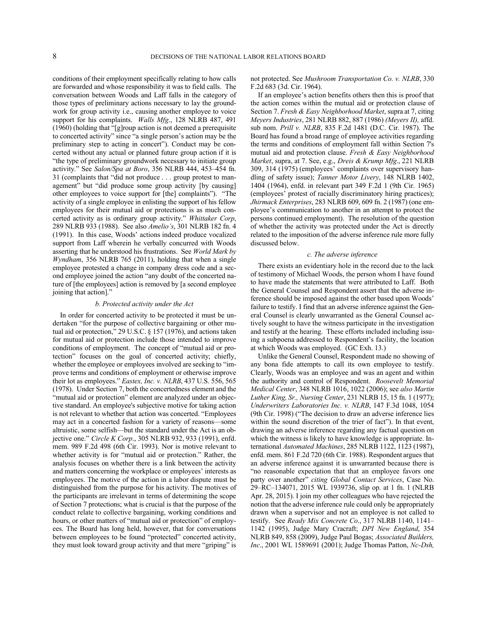conditions of their employment specifically relating to how calls are forwarded and whose responsibility it was to field calls. The conversation between Woods and Laff falls in the category of those types of preliminary actions necessary to lay the groundwork for group activity i.e., causing another employee to voice support for his complaints. *Walls Mfg*., 128 NLRB 487, 491 (1960) (holding that "[g]roup action is not deemed a prerequisite to concerted activity" since "a single person's action may be the preliminary step to acting in concert"). Conduct may be concerted without any actual or planned future group action if it is "the type of preliminary groundwork necessary to initiate group activity." See *Salon/Spa at Boro*, 356 NLRB 444, 453–454 fn. 31 (complaints that "did not produce . . . group protest to management" but "did produce some group activity [by causing] other employees to voice support for [the] complaints"). "The activity of a single employee in enlisting the support of his fellow employees for their mutual aid or protections is as much concerted activity as is ordinary group activity." *Whittaker Corp*, 289 NLRB 933 (1988). See also *Amelio's*, 301 NLRB 182 fn. 4 (1991). In this case, Woods' actions indeed produce vocalized support from Laff wherein he verbally concurred with Woods asserting that he understood his frustrations. See *World Mark by Wyndham*, 356 NLRB 765 (2011), holding that when a single employee protested a change in company dress code and a second employee joined the action "any doubt of the concerted nature of [the employees] action is removed by [a second employee joining that action]."

### *b. Protected activity under the Act*

In order for concerted activity to be protected it must be undertaken "for the purpose of collective bargaining or other mutual aid or protection," 29 U.S.C. § 157 (1976), and actions taken for mutual aid or protection include those intended to improve conditions of employment. The concept of "mutual aid or protection" focuses on the goal of concerted activity; chiefly, whether the employee or employees involved are seeking to "improve terms and conditions of employment or otherwise improve their lot as employees." *Eastex, Inc. v. NLRB*, 437 U.S. 556, 565 (1978). Under Section 7, both the concertedness element and the "mutual aid or protection" element are analyzed under an objective standard. An employee's subjective motive for taking action is not relevant to whether that action was concerted. "Employees may act in a concerted fashion for a variety of reasons—some altruistic, some selfish—but the standard under the Act is an objective one." *Circle K Corp*., 305 NLRB 932, 933 (1991), enfd. mem. 989 F.2d 498 (6th Cir. 1993). Nor is motive relevant to whether activity is for "mutual aid or protection." Rather, the analysis focuses on whether there is a link between the activity and matters concerning the workplace or employees' interests as employees. The motive of the action in a labor dispute must be distinguished from the purpose for his activity. The motives of the participants are irrelevant in terms of determining the scope of Section 7 protections; what is crucial is that the purpose of the conduct relate to collective bargaining, working conditions and hours, or other matters of "mutual aid or protection" of employees. The Board has long held, however, that for conversations between employees to be found "protected" concerted activity, they must look toward group activity and that mere "griping" is

not protected. See *Mushroom Transportation Co. v. NLRB*, 330 F.2d 683 (3d. Cir. 1964).

If an employee's action benefits others then this is proof that the action comes within the mutual aid or protection clause of Section 7. *Fresh & Easy Neighborhood Market*, supra at 7, citing *Meyers Industries*, 281 NLRB 882, 887 (1986) *(Meyers II),* affd. sub nom. *Prill v. NLRB*, 835 F.2d 1481 (D.C. Cir. 1987). The Board has found a broad range of employee activities regarding the terms and conditions of employment fall within Section 7's mutual aid and protection clause. *Fresh & Easy Neighborhood Market*, supra, at 7. See, e.g., *Dreis & Krump Mfg*., 221 NLRB 309, 314 (1975) (employees' complaints over supervisory handling of safety issue); *Tanner Motor Livery*, 148 NLRB 1402, 1404 (1964), enfd. in relevant part 349 F.2d 1 (9th Cir. 1965) (employees' protest of racially discriminatory hiring practices); *Jhirmack Enterprises*, 283 NLRB 609, 609 fn. 2 (1987) (one employee's communication to another in an attempt to protect the persons continued employment). The resolution of the question of whether the activity was protected under the Act is directly related to the imposition of the adverse inference rule more fully discussed below.

### *c. The adverse inference*

There exists an evidentiary hole in the record due to the lack of testimony of Michael Woods, the person whom I have found to have made the statements that were attributed to Laff. Both the General Counsel and Respondent assert that the adverse inference should be imposed against the other based upon Woods' failure to testify. I find that an adverse inference against the General Counsel is clearly unwarranted as the General Counsel actively sought to have the witness participate in the investigation and testify at the hearing. These efforts included including issuing a subpoena addressed to Respondent's facility, the location at which Woods was employed. (GC Exh. 13.)

Unlike the General Counsel, Respondent made no showing of any bona fide attempts to call its own employee to testify. Clearly, Woods was an employee and was an agent and within the authority and control of Respondent. *Roosevelt Memorial Medical Center*, 348 NLRB 1016, 1022 (2006); see *also Martin Luther King, Sr., Nursing Center*, 231 NLRB 15, 15 fn. 1 (1977); *Underwriters Laboratories Inc. v. NLRB*, 147 F.3d 1048, 1054 (9th Cir. 1998) ("The decision to draw an adverse inference lies within the sound discretion of the trier of fact"). In that event, drawing an adverse inference regarding any factual question on which the witness is likely to have knowledge is appropriate. International *Automated Machines*, 285 NLRB 1122, 1123 (1987), enfd. mem. 861 F.2d 720 (6th Cir. 1988). Respondent argues that an adverse inference against it is unwarranted because there is "no reasonable expectation that that an employee favors one party over another" *citing Global Contact Services*, Case No. 29–RC–134071, 2015 WL 1939736, slip op. at 1 fn. 1 (NLRB Apr. 28, 2015). I join my other colleagues who have rejected the notion that the adverse inference rule could only be appropriately drawn when a supervisor and not an employee is not called to testify. See *Ready Mix Concrete Co*., 317 NLRB 1140, 1141– 1142 (1995), Judge Mary Cracraft; *DPI New England*, 354 NLRB 849, 858 (2009), Judge Paul Bogas; *Associated Builders, Inc*., 2001 WL 1589691 (2001); Judge Thomas Patton, *Nc-Dsh,*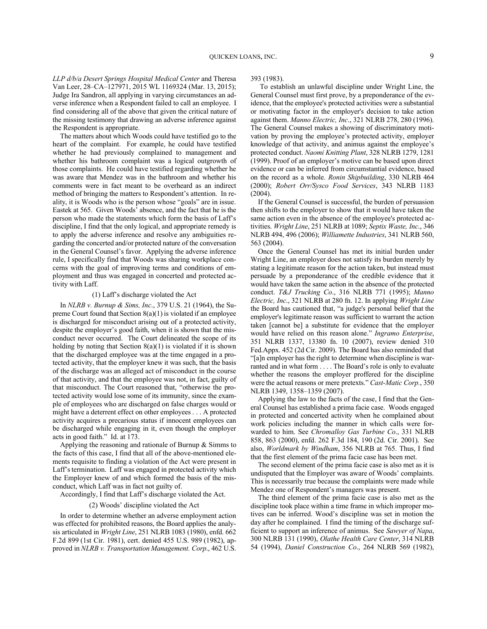*LLP d/b/a Desert Springs Hospital Medical Center* and Theresa Van Leer, 28–CA–127971, 2015 WL 1169324 (Mar. 13, 2015); Judge Ira Sandron, all applying in varying circumstances an adverse inference when a Respondent failed to call an employee. I find considering all of the above that given the critical nature of the missing testimony that drawing an adverse inference against the Respondent is appropriate.

The matters about which Woods could have testified go to the heart of the complaint. For example, he could have testified whether he had previously complained to management and whether his bathroom complaint was a logical outgrowth of those complaints. He could have testified regarding whether he was aware that Mendez was in the bathroom and whether his comments were in fact meant to be overheard as an indirect method of bringing the matters to Respondent's attention. In reality, it is Woods who is the person whose "goals" are in issue. Eastek at 565. Given Woods' absence, and the fact that he is the person who made the statements which form the basis of Laff's discipline, I find that the only logical, and appropriate remedy is to apply the adverse inference and resolve any ambiguities regarding the concerted and/or protected nature of the conversation in the General Counsel's favor. Applying the adverse inference rule, I specifically find that Woods was sharing workplace concerns with the goal of improving terms and conditions of employment and thus was engaged in concerted and protected activity with Laff.

### (1) Laff's discharge violated the Act

In *NLRB v. Burnup & Sims, Inc*., 379 U.S. 21 (1964), the Supreme Court found that Section 8(a)(1) is violated if an employee is discharged for misconduct arising out of a protected activity, despite the employer's good faith, when it is shown that the misconduct never occurred. The Court delineated the scope of its holding by noting that Section  $8(a)(1)$  is violated if it is shown that the discharged employee was at the time engaged in a protected activity, that the employer knew it was such, that the basis of the discharge was an alleged act of misconduct in the course of that activity, and that the employee was not, in fact, guilty of that misconduct. The Court reasoned that, "otherwise the protected activity would lose some of its immunity, since the example of employees who are discharged on false charges would or might have a deterrent effect on other employees . . . A protected activity acquires a precarious status if innocent employees can be discharged while engaging in it, even though the employer acts in good faith." Id. at 173.

Applying the reasoning and rationale of Burnup & Simms to the facts of this case, I find that all of the above-mentioned elements requisite to finding a violation of the Act were present in Laff's termination. Laff was engaged in protected activity which the Employer knew of and which formed the basis of the misconduct, which Laff was in fact not guilty of.

Accordingly, I find that Laff's discharge violated the Act.

#### (2) Woods' discipline violated the Act

In order to determine whether an adverse employment action was effected for prohibited reasons, the Board applies the analysis articulated in *Wright Line*, 251 NLRB 1083 (1980), enfd. 662 F.2d 899 (1st Cir. 1981), cert. denied 455 U.S. 989 (1982), approved in *NLRB v. Transportation Management. Corp*., 462 U.S. 393 (1983).

To establish an unlawful discipline under Wright Line, the General Counsel must first prove, by a preponderance of the evidence, that the employee's protected activities were a substantial or motivating factor in the employer's decision to take action against them. *Manno Electric, Inc*., 321 NLRB 278, 280 (1996). The General Counsel makes a showing of discriminatory motivation by proving the employee's protected activity, employer knowledge of that activity, and animus against the employee's protected conduct. *Naomi Knitting Plant*, 328 NLRB 1279, 1281 (1999). Proof of an employer's motive can be based upon direct evidence or can be inferred from circumstantial evidence, based on the record as a whole. *Ronin Shipbuilding*, 330 NLRB 464 (2000); *Robert Orr/Sysco Food Services*, 343 NLRB 1183 (2004).

If the General Counsel is successful, the burden of persuasion then shifts to the employer to show that it would have taken the same action even in the absence of the employee's protected activities. *Wright Line*, 251 NLRB at 1089; *Septix Waste, Inc*., 346 NLRB 494, 496 (2006); *Williamette Industries*, 341 NLRB 560, 563 (2004).

Once the General Counsel has met its initial burden under Wright Line, an employer does not satisfy its burden merely by stating a legitimate reason for the action taken, but instead must persuade by a preponderance of the credible evidence that it would have taken the same action in the absence of the protected conduct. *T&J Trucking Co*., 316 NLRB 771 (1995); *Manno Electric, Inc*., 321 NLRB at 280 fn. 12. In applying *Wright Line*  the Board has cautioned that, "a judge's personal belief that the employer's legitimate reason was sufficient to warrant the action taken [cannot be] a substitute for evidence that the employer would have relied on this reason alone." *Ingramo Enterprise*, 351 NLRB 1337, 13380 fn. 10 (2007), review denied 310 Fed.Appx. 452 (2d Cir. 2009). The Board has also reminded that "[a]n employer has the right to determine when discipline is warranted and in what form . . . . The Board's role is only to evaluate whether the reasons the employer proffered for the discipline were the actual reasons or mere pretexts." *Cast-Matic Corp.*, 350 NLRB 1349, 1358–1359 (2007).

Applying the law to the facts of the case, I find that the General Counsel has established a prima facie case. Woods engaged in protected and concerted activity when he complained about work policies including the manner in which calls were forwarded to him. See *Chromalloy Gas Turbine Co*., 331 NLRB 858, 863 (2000), enfd. 262 F.3d 184, 190 (2d. Cir. 2001). See also, *Worldmark by Windham*, 356 NLRB at 765. Thus, I find that the first element of the prima facie case has been met.

The second element of the prima facie case is also met as it is undisputed that the Employer was aware of Woods' complaints. This is necessarily true because the complaints were made while Mendez one of Respondent's managers was present.

The third element of the prima facie case is also met as the discipline took place within a time frame in which improper motives can be inferred. Wood's discipline was set in motion the day after he complained. I find the timing of the discharge sufficient to support an inference of animus. See *Sawyer of Napa*, 300 NLRB 131 (1990), *Olathe Health Care Center*, 314 NLRB 54 (1994), *Daniel Construction Co*., 264 NLRB 569 (1982),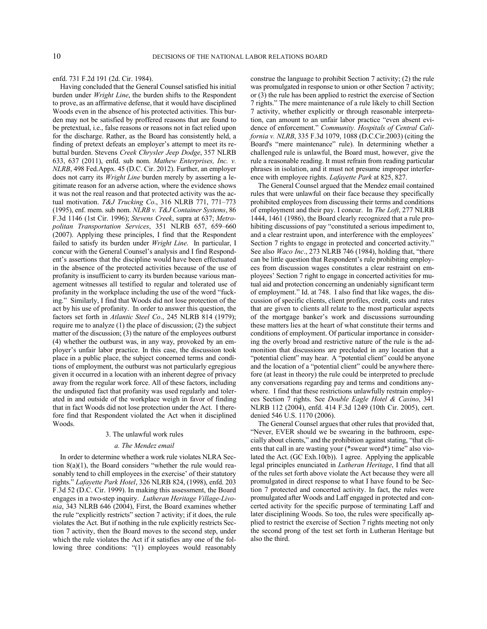enfd. 731 F.2d 191 (2d. Cir. 1984).

Having concluded that the General Counsel satisfied his initial burden under *Wright Line*, the burden shifts to the Respondent to prove, as an affirmative defense, that it would have disciplined Woods even in the absence of his protected activities. This burden may not be satisfied by proffered reasons that are found to be pretextual, i.e., false reasons or reasons not in fact relied upon for the discharge. Rather, as the Board has consistently held, a finding of pretext defeats an employer's attempt to meet its rebuttal burden. Stevens *Creek Chrysler Jeep Dodge*, 357 NLRB 633, 637 (2011), enfd. sub nom. *Mathew Enterprises, Inc. v. NLRB*, 498 Fed.Appx. 45 (D.C. Cir. 2012). Further, an employer does not carry its *Wright Line* burden merely by asserting a legitimate reason for an adverse action, where the evidence shows it was not the real reason and that protected activity was the actual motivation. *T&J Trucking Co*., 316 NLRB 771, 771–773 (1995), enf. mem. sub nom. *NLRB v. T&J Container Systems*, 86 F.3d 1146 (1st Cir. 1996); *Stevens Creek*, supra at 637; *Metropolitan Transportation Services*, 351 NLRB 657, 659–660 (2007). Applying these principles, I find that the Respondent failed to satisfy its burden under *Wright Line*. In particular, I concur with the General Counsel's analysis and I find Respondent's assertions that the discipline would have been effectuated in the absence of the protected activities because of the use of profanity is insufficient to carry its burden because various management witnesses all testified to regular and tolerated use of profanity in the workplace including the use of the word "fucking." Similarly, I find that Woods did not lose protection of the act by his use of profanity. In order to answer this question, the factors set forth in *Atlantic Steel Co*., 245 NLRB 814 (1979); require me to analyze (1) the place of discussion; (2) the subject matter of the discussion; (3) the nature of the employees outburst (4) whether the outburst was, in any way, provoked by an employer's unfair labor practice. In this case, the discussion took place in a public place, the subject concerned terms and conditions of employment, the outburst was not particularly egregious given it occurred in a location with an inherent degree of privacy away from the regular work force. All of these factors, including the undisputed fact that profanity was used regularly and tolerated in and outside of the workplace weigh in favor of finding that in fact Woods did not lose protection under the Act. I therefore find that Respondent violated the Act when it disciplined Woods.

## 3. The unlawful work rules

#### *a. The Mendez email*

In order to determine whether a work rule violates NLRA Section 8(a)(1), the Board considers "whether the rule would reasonably tend to chill employees in the exercise' of their statutory rights." *Lafayette Park Hotel*, 326 NLRB 824, (1998), enfd. 203 F.3d 52 (D.C. Cir. 1999). In making this assessment, the Board engages in a two-step inquiry. *Lutheran Heritage Village-Livonia*, 343 NLRB 646 (2004), First, the Board examines whether the rule "explicitly restricts" section 7 activity; if it does, the rule violates the Act. But if nothing in the rule explicitly restricts Section 7 activity, then the Board moves to the second step, under which the rule violates the Act if it satisfies any one of the following three conditions: "(1) employees would reasonably construe the language to prohibit Section 7 activity; (2) the rule was promulgated in response to union or other Section 7 activity; or (3) the rule has been applied to restrict the exercise of Section 7 rights." The mere maintenance of a rule likely to chill Section 7 activity, whether explicitly or through reasonable interpretation, can amount to an unfair labor practice "even absent evidence of enforcement." *Community. Hospitals of Central California v. NLRB*, 335 F.3d 1079, 1088 (D.C.Cir.2003) (citing the Board's "mere maintenance" rule). In determining whether a challenged rule is unlawful, the Board must, however, give the rule a reasonable reading. It must refrain from reading particular phrases in isolation, and it must not presume improper interference with employee rights. *Lafayette Park* at 825, 827.

The General Counsel argued that the Mendez email contained rules that were unlawful on their face because they specifically prohibited employees from discussing their terms and conditions of employment and their pay. I concur. In *The Loft*, 277 NLRB 1444, 1461 (1986), the Board clearly recognized that a rule prohibiting discussions of pay "constituted a serious impediment to, and a clear restraint upon, and interference with the employees' Section 7 rights to engage in protected and concerted activity." See also *Waco Inc*., 273 NLRB 746 (1984), holding that, "there can be little question that Respondent's rule prohibiting employees from discussion wages constitutes a clear restraint on employees' Section 7 right to engage in concerted activities for mutual aid and protection concerning an undeniably significant term of employment." Id. at 748. I also find that like wages, the discussion of specific clients, client profiles, credit, costs and rates that are given to clients all relate to the most particular aspects of the mortgage banker's work and discussions surrounding these matters lies at the heart of what constitute their terms and conditions of employment. Of particular importance in considering the overly broad and restrictive nature of the rule is the admonition that discussions are precluded in any location that a "potential client" may hear. A "potential client" could be anyone and the location of a "potential client" could be anywhere therefore (at least in theory) the rule could be interpreted to preclude any conversations regarding pay and terms and conditions anywhere. I find that these restrictions unlawfully restrain employees Section 7 rights. See *Double Eagle Hotel & Casino*, 341 NLRB 112 (2004), enfd. 414 F.3d 1249 (10th Cir. 2005), cert. denied 546 U.S. 1170 (2006).

The General Counsel argues that other rules that provided that, "Never, EVER should we be swearing in the bathroom, especially about clients," and the prohibition against stating, "that clients that call in are wasting your (\*swear word\*) time" also violated the Act. (GC Exh.10(b)). I agree. Applying the applicable legal principles enunciated in *Lutheran Heritage*, I find that all of the rules set forth above violate the Act because they were all promulgated in direct response to what I have found to be Section 7 protected and concerted activity. In fact, the rules were promulgated after Woods and Laff engaged in protected and concerted activity for the specific purpose of terminating Laff and later disciplining Woods. So too, the rules were specifically applied to restrict the exercise of Section 7 rights meeting not only the second prong of the test set forth in Lutheran Heritage but also the third.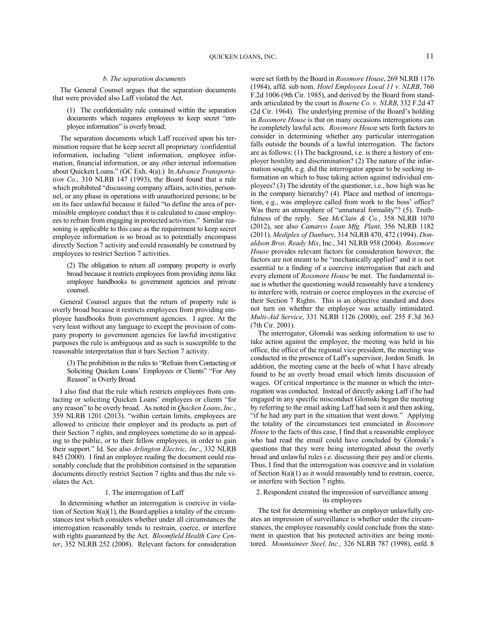### *b. The separation documents*

The General Counsel argues that the separation documents that were provided also Laff violated the Act.

(1) The confidentiality rule contained within the separation documents which requires employees to keep secret "employee information" is overly broad;

The separation documents which Laff received upon his termination require that he keep secret all proprietary /confidential information, including "client information, employee information, financial information, or any other internal information about Quicken Loans." (GC Exh. 4(a).) In *Advance Transportation Co*., 310 NLRB 147 (1993), the Board found that a rule which prohibited "discussing company affairs, activities, personnel, or any phase in operations with unauthorized persons; to be on its face unlawful because it failed "to define the area of permissible employee conduct thus it is calculated to cause employees to refrain from engaging in protected activities." Similar reasoning is applicable to this case as the requirement to keep secret employee information is so broad as to potentially encompass directly Section 7 activity and could reasonably be construed by employees to restrict Section 7 activities.

(2) The obligation to return all company property is overly broad because it restricts employees from providing items like employee handbooks to government agencies and private counsel.

General Counsel argues that the return of property rule is overly broad because it restricts employees from providing employee handbooks from government agencies. I agree. At the very least without any language to except the provision of company property to government agencies for lawful investigative purposes the rule is ambiguous and as such is susceptible to the reasonable interpretation that it bars Section 7 activity.

(3) The prohibition in the rules to "Refrain from Contacting or Soliciting Quicken Loans' Employees or Clients" "For Any Reason" is Overly Broad.

I also find that the rule which restricts employees from contacting or soliciting Quicken Loans' employees or clients "for any reason" to be overly broad. As noted in *Quicken Loans*, *Inc.*, 359 NLRB 1201 (2013). "within certain limits, employees are allowed to criticize their employer and its products as part of their Section 7 rights, and employees sometime do so in appealing to the public, or to their fellow employees, in order to gain their support." Id. See also *Arlington Electric, Inc*., 332 NLRB 845 (2000). I find an employee reading the document could reasonably conclude that the prohibition contained in the separation documents directly restrict Section 7 rights and thus the rule violates the Act.

# 1. The interrogation of Laff

In determining whether an interrogation is coercive in violation of Section 8(a)(1), the Board applies a totality of the circumstances test which considers whether under all circumstances the interrogation reasonably tends to restrain, coerce, or interfere with rights guaranteed by the Act. *Bloomfield Health Care Center*, 352 NLRB 252 (2008). Relevant factors for consideration were set forth by the Board in *Rossmore House*, 269 NLRB 1176 (1984), affd. sub nom. *Hotel Employees Local 11 v. NLRB*, 760 F.2d 1006 (9th Cir. 1985), and derived by the Board from standards articulated by the court in *Bourne Co. v. NLRB*, 332 F.2d 47 (2d Cir. 1964). The underlying premise of the Board's holding in *Rossmore House* is that on many occasions interrogations can be completely lawful acts. *Rossmore Hous*e sets forth factors to consider in determining whether any particular interrogation falls outside the bounds of a lawful interrogation. The factors are as follows: (1) The background, i.e. is there a history of employer hostility and discrimination? (2) The nature of the information sought, e.g. did the interrogator appear to be seeking information on which to base taking action against individual employees? (3) The identity of the questioner, i.e., how high was he in the company hierarchy? (4). Place and method of interrogation, e.g., was employee called from work to the boss' office? Was there an atmosphere of "unnatural formality"? (5). Truthfulness of the reply. See *McClain & Co.*, 358 NLRB 1070 (2012), see also *Camarco Loan Mfg. Plant*, 356 NLRB 1182 (2011). *Mediplex of Danbury*, 314 NLRB 470, 472 (1994). *Donaldson Bros. Ready Mix*, Inc., 341 NLRB 958 (2004). *Rossmore House* provides relevant factors for consideration however, the factors are not meant to be "mechanically applied" and it is not essential to a finding of a coercive interrogation that each and every element of *Rossmore House* be met. The fundamental issue is whether the questioning would reasonably have a tendency to interfere with, restrain or coerce employees in the exercise of their Section 7 Rights. This is an objective standard and does not turn on whether the employee was actually intimidated. *Multi-Aid Service*, 331 NLRB 1126 (2000), enf. 255 F.3d 363 (7th Cir. 2001).

The interrogator, Glomski was seeking information to use to take action against the employee, the meeting was held in his office, the office of the regional vice president, the meeting was conducted in the presence of Laff's supervisor, Jordon Smith. In addition, the meeting came at the heels of what I have already found to be an overly broad email which limits discussion of wages. Of critical importance is the manner in which the interrogation was conducted. Instead of directly asking Laff if he had engaged in any specific misconduct Glomski began the meeting by referring to the email asking Laff had seen it and then asking, "if he had any part in the situation that went down." Applying the totality of the circumstances test enunciated in *Rossmore House* to the facts of this case, I find that a reasonable employee who had read the email could have concluded by Glomski's questions that they were being interrogated about the overly broad and unlawful rules i.e. discussing their pay and/or clients. Thus, I find that the interrogation was coercive and in violation of Section 8(a)(1) as it would reasonably tend to restrain, coerce, or interfere with Section 7 rights.

## 2. Respondent created the impression of surveillance among its employees

The test for determining whether an employer unlawfully creates an impression of surveillance is whether under the circumstances, the employee reasonably could conclude from the statement in question that his protected activities are being monitored. *Mountaineer Steel, Inc.,* 326 NLRB 787 (1998), enfd. 8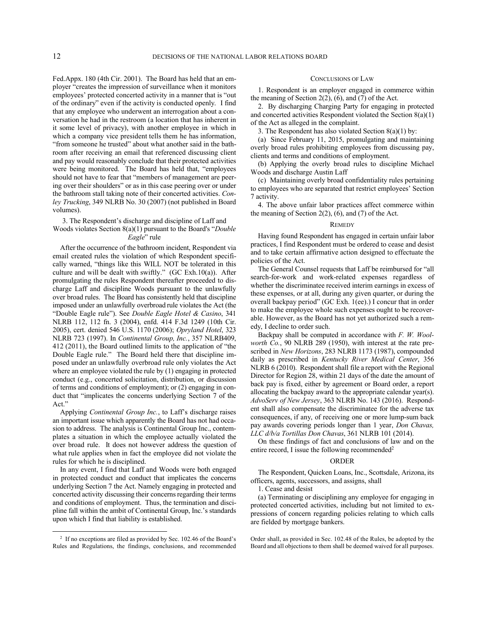Fed.Appx. 180 (4th Cir. 2001). The Board has held that an employer "creates the impression of surveillance when it monitors employees' protected concerted activity in a manner that is "out of the ordinary" even if the activity is conducted openly. I find that any employee who underwent an interrogation about a conversation he had in the restroom (a location that has inherent in it some level of privacy), with another employee in which in which a company vice president tells them he has information, "from someone he trusted" about what another said in the bathroom after receiving an email that referenced discussing client and pay would reasonably conclude that their protected activities were being monitored. The Board has held that, "employees should not have to fear that "members of management are peering over their shoulders" or as in this case peering over or under the bathroom stall taking note of their concerted activities. *Conley Trucking*, 349 NLRB No. 30 (2007) (not published in Board volumes).

## 3. The Respondent's discharge and discipline of Laff and Woods violates Section 8(a)(1) pursuant to the Board's "*Double Eagle*" rule

After the occurrence of the bathroom incident, Respondent via email created rules the violation of which Respondent specifically warned, "things like this WILL NOT be tolerated in this culture and will be dealt with swiftly." (GC Exh.10(a)). After promulgating the rules Respondent thereafter proceeded to discharge Laff and discipline Woods pursuant to the unlawfully over broad rules. The Board has consistently held that discipline imposed under an unlawfully overbroad rule violates the Act (the "Double Eagle rule"). See *Double Eagle Hotel & Casino*, 341 NLRB 112, 112 fn. 3 (2004), enfd. 414 F.3d 1249 (10th Cir. 2005), cert. denied 546 U.S. 1170 (2006); *Opryland Hotel*, 323 NLRB 723 (1997). In *Continental Group, Inc.*, 357 NLRB409, 412 (2011), the Board outlined limits to the application of "the Double Eagle rule." The Board held there that discipline imposed under an unlawfully overbroad rule only violates the Act where an employee violated the rule by (1) engaging in protected conduct (e.g., concerted solicitation, distribution, or discussion of terms and conditions of employment); or (2) engaging in conduct that "implicates the concerns underlying Section 7 of the Act."

Applying *Continental Group Inc.*, to Laff's discharge raises an important issue which apparently the Board has not had occasion to address. The analysis is Continental Group Inc., contemplates a situation in which the employee actually violated the over broad rule. It does not however address the question of what rule applies when in fact the employee did not violate the rules for which he is disciplined.

In any event, I find that Laff and Woods were both engaged in protected conduct and conduct that implicates the concerns underlying Section 7 the Act. Namely engaging in protected and concerted activity discussing their concerns regarding their terms and conditions of employment. Thus, the termination and discipline fall within the ambit of Continental Group, Inc.'s standards upon which I find that liability is established.

1

### CONCLUSIONS OF LAW

1. Respondent is an employer engaged in commerce within the meaning of Section  $2(2)$ ,  $(6)$ , and  $(7)$  of the Act.

2. By discharging Charging Party for engaging in protected and concerted activities Respondent violated the Section 8(a)(1) of the Act as alleged in the complaint.

3. The Respondent has also violated Section 8(a)(1) by:

(a) Since February 11, 2015, promulgating and maintaining overly broad rules prohibiting employees from discussing pay, clients and terms and conditions of employment.

(b) Applying the overly broad rules to discipline Michael Woods and discharge Austin Laff

(c) Maintaining overly broad confidentiality rules pertaining to employees who are separated that restrict employees' Section 7 activity.

4. The above unfair labor practices affect commerce within the meaning of Section  $2(2)$ ,  $(6)$ , and  $(7)$  of the Act.

### **REMEDY**

Having found Respondent has engaged in certain unfair labor practices, I find Respondent must be ordered to cease and desist and to take certain affirmative action designed to effectuate the policies of the Act.

The General Counsel requests that Laff be reimbursed for "all search-for-work and work-related expenses regardless of whether the discriminatee received interim earnings in excess of these expenses, or at all, during any given quarter, or during the overall backpay period" (GC Exh. 1(ee).) I concur that in order to make the employee whole such expenses ought to be recoverable. However, as the Board has not yet authorized such a remedy, I decline to order such.

Backpay shall be computed in accordance with *F. W. Woolworth Co.*, 90 NLRB 289 (1950), with interest at the rate prescribed in *New Horizons*, 283 NLRB 1173 (1987), compounded daily as prescribed in *Kentucky River Medical Center*, 356 NLRB 6 (2010). Respondent shall file a report with the Regional Director for Region 28, within 21 days of the date the amount of back pay is fixed, either by agreement or Board order, a report allocating the backpay award to the appropriate calendar year(s). *AdvoServ of New Jersey*, 363 NLRB No. 143 (2016). Respondent shall also compensate the discriminatee for the adverse tax consequences, if any, of receiving one or more lump-sum back pay awards covering periods longer than 1 year, *Don Chavas, LLC d/b/a Tortillas Don Chavas*, 361 NLRB 101 (2014).

On these findings of fact and conclusions of law and on the entire record, I issue the following recommended<sup>2</sup>

### ORDER

The Respondent, Quicken Loans, Inc., Scottsdale, Arizona, its officers, agents, successors, and assigns, shall

1. Cease and desist

(a) Terminating or disciplining any employee for engaging in protected concerted activities, including but not limited to expressions of concern regarding policies relating to which calls are fielded by mortgage bankers.

Order shall, as provided in Sec. 102.48 of the Rules, be adopted by the Board and all objections to them shall be deemed waived for all purposes.

<sup>2</sup> If no exceptions are filed as provided by Sec. 102.46 of the Board's Rules and Regulations, the findings, conclusions, and recommended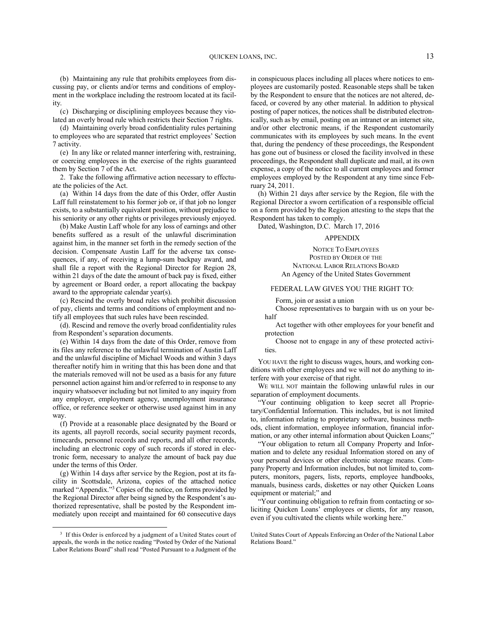(b) Maintaining any rule that prohibits employees from discussing pay, or clients and/or terms and conditions of employment in the workplace including the restroom located at its facility.

(c) Discharging or disciplining employees because they violated an overly broad rule which restricts their Section 7 rights.

(d) Maintaining overly broad confidentiality rules pertaining to employees who are separated that restrict employees' Section 7 activity.

(e) In any like or related manner interfering with, restraining, or coercing employees in the exercise of the rights guaranteed them by Section 7 of the Act.

2. Take the following affirmative action necessary to effectuate the policies of the Act.

(a) Within 14 days from the date of this Order, offer Austin Laff full reinstatement to his former job or, if that job no longer exists, to a substantially equivalent position, without prejudice to his seniority or any other rights or privileges previously enjoyed.

(b) Make Austin Laff whole for any loss of earnings and other benefits suffered as a result of the unlawful discrimination against him, in the manner set forth in the remedy section of the decision. Compensate Austin Laff for the adverse tax consequences, if any, of receiving a lump-sum backpay award, and shall file a report with the Regional Director for Region 28, within 21 days of the date the amount of back pay is fixed, either by agreement or Board order, a report allocating the backpay award to the appropriate calendar year(s).

(c) Rescind the overly broad rules which prohibit discussion of pay, clients and terms and conditions of employment and notify all employees that such rules have been rescinded.

(d). Rescind and remove the overly broad confidentiality rules from Respondent's separation documents.

(e) Within 14 days from the date of this Order, remove from its files any reference to the unlawful termination of Austin Laff and the unlawful discipline of Michael Woods and within 3 days thereafter notify him in writing that this has been done and that the materials removed will not be used as a basis for any future personnel action against him and/or referred to in response to any inquiry whatsoever including but not limited to any inquiry from any employer, employment agency, unemployment insurance office, or reference seeker or otherwise used against him in any way.

(f) Provide at a reasonable place designated by the Board or its agents, all payroll records, social security payment records, timecards, personnel records and reports, and all other records, including an electronic copy of such records if stored in electronic form, necessary to analyze the amount of back pay due under the terms of this Order.

(g) Within 14 days after service by the Region, post at its facility in Scottsdale, Arizona, copies of the attached notice marked "Appendix."<sup>3</sup> Copies of the notice, on forms provided by the Regional Director after being signed by the Respondent's authorized representative, shall be posted by the Respondent immediately upon receipt and maintained for 60 consecutive days

1

in conspicuous places including all places where notices to employees are customarily posted. Reasonable steps shall be taken by the Respondent to ensure that the notices are not altered, defaced, or covered by any other material. In addition to physical posting of paper notices, the notices shall be distributed electronically, such as by email, posting on an intranet or an internet site, and/or other electronic means, if the Respondent customarily communicates with its employees by such means. In the event that, during the pendency of these proceedings, the Respondent has gone out of business or closed the facility involved in these proceedings, the Respondent shall duplicate and mail, at its own expense, a copy of the notice to all current employees and former employees employed by the Respondent at any time since February 24, 2011.

(h) Within 21 days after service by the Region, file with the Regional Director a sworn certification of a responsible official on a form provided by the Region attesting to the steps that the Respondent has taken to comply.

Dated, Washington, D.C. March 17, 2016

## APPENDIX

NOTICE TO EMPLOYEES POSTED BY ORDER OF THE NATIONAL LABOR RELATIONS BOARD An Agency of the United States Government

### FEDERAL LAW GIVES YOU THE RIGHT TO:

Form, join or assist a union

Choose representatives to bargain with us on your behalf

Act together with other employees for your benefit and protection

Choose not to engage in any of these protected activities.

YOU HAVE the right to discuss wages, hours, and working conditions with other employees and we will not do anything to interfere with your exercise of that right.

WE WILL NOT maintain the following unlawful rules in our separation of employment documents.

"Your continuing obligation to keep secret all Proprietary/Confidential Information. This includes, but is not limited to, information relating to proprietary software, business methods, client information, employee information, financial information, or any other internal information about Quicken Loans;"

"Your obligation to return all Company Property and Information and to delete any residual Information stored on any of your personal devices or other electronic storage means. Company Property and Information includes, but not limited to, computers, monitors, pagers, lists, reports, employee handbooks, manuals, business cards, diskettes or nay other Quicken Loans equipment or material;" and

"Your continuing obligation to refrain from contacting or soliciting Quicken Loans' employees or clients, for any reason, even if you cultivated the clients while working here."

<sup>&</sup>lt;sup>3</sup> If this Order is enforced by a judgment of a United States court of appeals, the words in the notice reading "Posted by Order of the National Labor Relations Board" shall read "Posted Pursuant to a Judgment of the

United States Court of Appeals Enforcing an Order of the National Labor Relations Board."